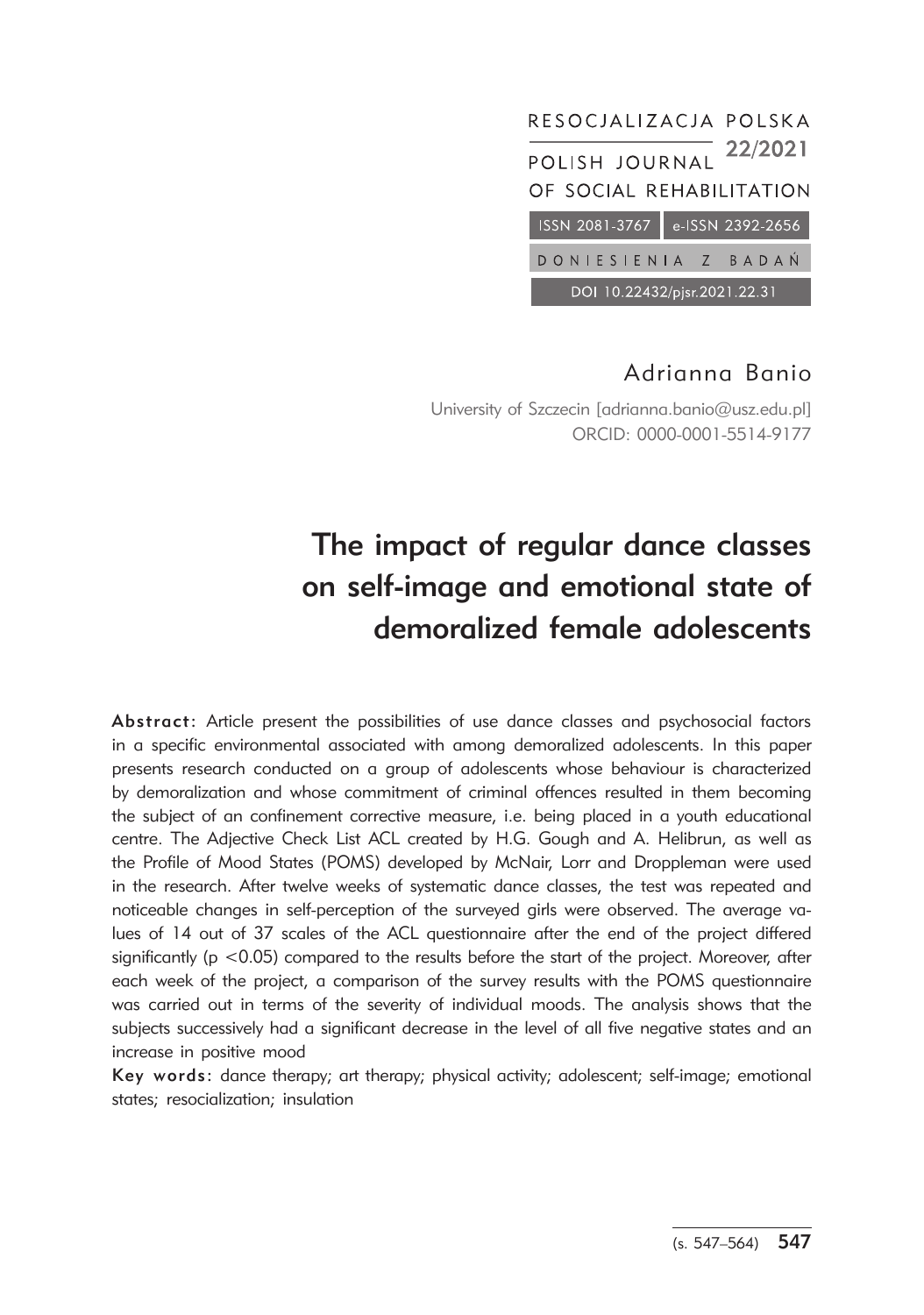

# Adrianna Banio

University of Szczecin [adrianna.banio@usz.edu.pl] ORCID: 0000-0001-5514-9177

# The impact of regular dance classes on self-image and emotional state of demoralized female adolescents

Abstract: Article present the possibilities of use dance classes and psychosocial factors in a specific environmental associated with among demoralized adolescents. In this paper presents research conducted on a group of adolescents whose behaviour is characterized by demoralization and whose commitment of criminal offences resulted in them becoming the subject of an confinement corrective measure, i.e. being placed in a youth educational centre. The Adjective Check List ACL created by H.G. Gough and A. Helibrun, as well as the Profile of Mood States (POMS) developed by McNair, Lorr and Droppleman were used in the research. After twelve weeks of systematic dance classes, the test was repeated and noticeable changes in self-perception of the surveyed girls were observed. The average values of 14 out of 37 scales of the ACL questionnaire after the end of the project differed significantly ( $p < 0.05$ ) compared to the results before the start of the project. Moreover, after each week of the project, a comparison of the survey results with the POMS questionnaire was carried out in terms of the severity of individual moods. The analysis shows that the subjects successively had a significant decrease in the level of all five negative states and an increase in positive mood

Key words: dance therapy; art therapy; physical activity; adolescent; self-image; emotional states; resocialization; insulation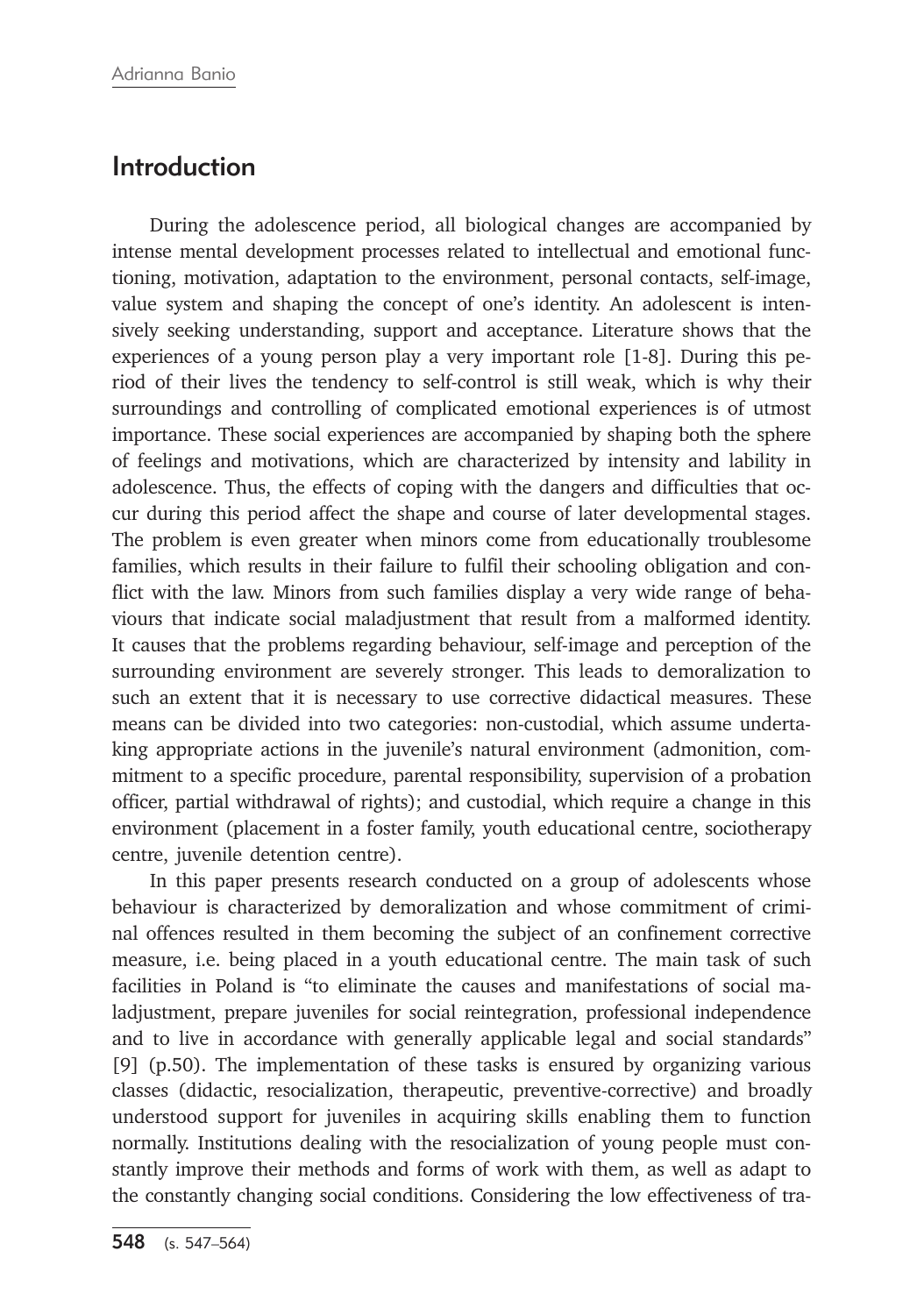## Introduction

During the adolescence period, all biological changes are accompanied by intense mental development processes related to intellectual and emotional functioning, motivation, adaptation to the environment, personal contacts, self-image, value system and shaping the concept of one's identity. An adolescent is intensively seeking understanding, support and acceptance. Literature shows that the experiences of a young person play a very important role [1-8]. During this period of their lives the tendency to self-control is still weak, which is why their surroundings and controlling of complicated emotional experiences is of utmost importance. These social experiences are accompanied by shaping both the sphere of feelings and motivations, which are characterized by intensity and lability in adolescence. Thus, the effects of coping with the dangers and difficulties that occur during this period affect the shape and course of later developmental stages. The problem is even greater when minors come from educationally troublesome families, which results in their failure to fulfil their schooling obligation and conflict with the law. Minors from such families display a very wide range of behaviours that indicate social maladjustment that result from a malformed identity. It causes that the problems regarding behaviour, self-image and perception of the surrounding environment are severely stronger. This leads to demoralization to such an extent that it is necessary to use corrective didactical measures. These means can be divided into two categories: non-custodial, which assume undertaking appropriate actions in the juvenile's natural environment (admonition, commitment to a specific procedure, parental responsibility, supervision of a probation officer, partial withdrawal of rights); and custodial, which require a change in this environment (placement in a foster family, youth educational centre, sociotherapy centre, juvenile detention centre).

In this paper presents research conducted on a group of adolescents whose behaviour is characterized by demoralization and whose commitment of criminal offences resulted in them becoming the subject of an confinement corrective measure, i.e. being placed in a youth educational centre. The main task of such facilities in Poland is "to eliminate the causes and manifestations of social maladjustment, prepare juveniles for social reintegration, professional independence and to live in accordance with generally applicable legal and social standards" [9] (p.50). The implementation of these tasks is ensured by organizing various classes (didactic, resocialization, therapeutic, preventive-corrective) and broadly understood support for juveniles in acquiring skills enabling them to function normally. Institutions dealing with the resocialization of young people must constantly improve their methods and forms of work with them, as well as adapt to the constantly changing social conditions. Considering the low effectiveness of tra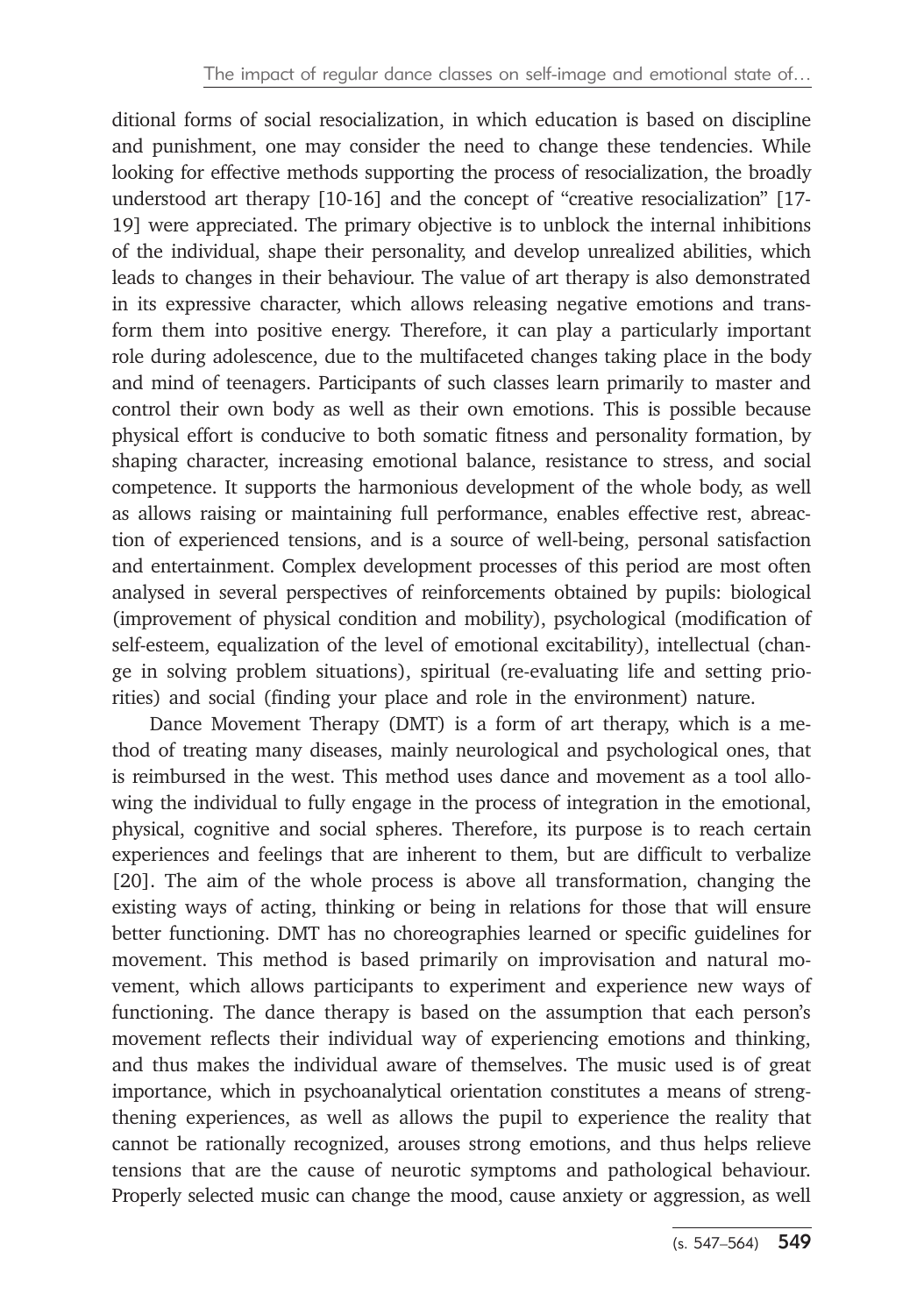ditional forms of social resocialization, in which education is based on discipline and punishment, one may consider the need to change these tendencies. While looking for effective methods supporting the process of resocialization, the broadly understood art therapy [10-16] and the concept of "creative resocialization" [17- 19] were appreciated. The primary objective is to unblock the internal inhibitions of the individual, shape their personality, and develop unrealized abilities, which leads to changes in their behaviour. The value of art therapy is also demonstrated in its expressive character, which allows releasing negative emotions and transform them into positive energy. Therefore, it can play a particularly important role during adolescence, due to the multifaceted changes taking place in the body and mind of teenagers. Participants of such classes learn primarily to master and control their own body as well as their own emotions. This is possible because physical effort is conducive to both somatic fitness and personality formation, by shaping character, increasing emotional balance, resistance to stress, and social competence. It supports the harmonious development of the whole body, as well as allows raising or maintaining full performance, enables effective rest, abreaction of experienced tensions, and is a source of well-being, personal satisfaction and entertainment. Complex development processes of this period are most often analysed in several perspectives of reinforcements obtained by pupils: biological (improvement of physical condition and mobility), psychological (modification of self-esteem, equalization of the level of emotional excitability), intellectual (change in solving problem situations), spiritual (re-evaluating life and setting priorities) and social (finding your place and role in the environment) nature.

Dance Movement Therapy (DMT) is a form of art therapy, which is a method of treating many diseases, mainly neurological and psychological ones, that is reimbursed in the west. This method uses dance and movement as a tool allowing the individual to fully engage in the process of integration in the emotional, physical, cognitive and social spheres. Therefore, its purpose is to reach certain experiences and feelings that are inherent to them, but are difficult to verbalize [20]. The aim of the whole process is above all transformation, changing the existing ways of acting, thinking or being in relations for those that will ensure better functioning. DMT has no choreographies learned or specific guidelines for movement. This method is based primarily on improvisation and natural movement, which allows participants to experiment and experience new ways of functioning. The dance therapy is based on the assumption that each person's movement reflects their individual way of experiencing emotions and thinking, and thus makes the individual aware of themselves. The music used is of great importance, which in psychoanalytical orientation constitutes a means of strengthening experiences, as well as allows the pupil to experience the reality that cannot be rationally recognized, arouses strong emotions, and thus helps relieve tensions that are the cause of neurotic symptoms and pathological behaviour. Properly selected music can change the mood, cause anxiety or aggression, as well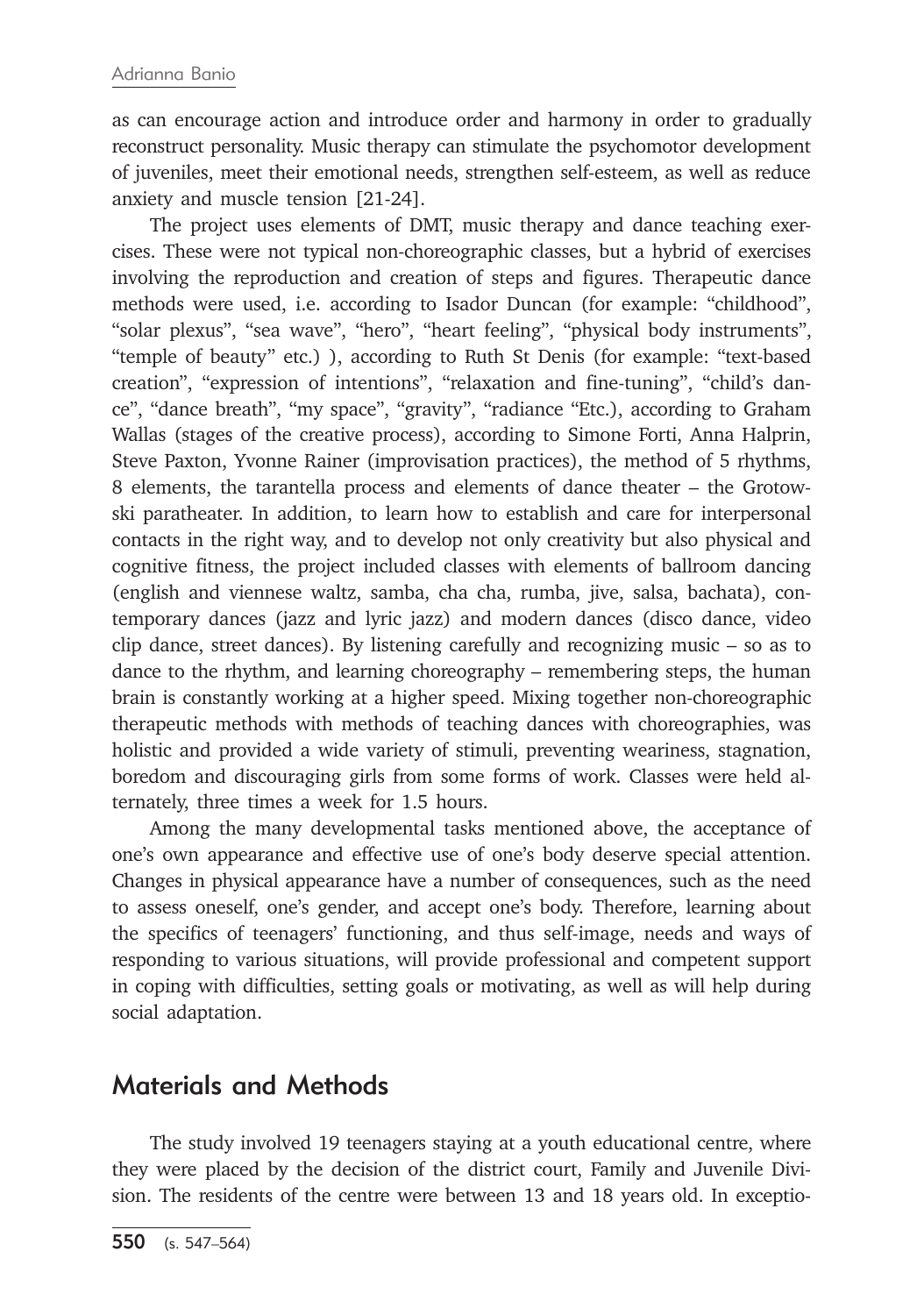as can encourage action and introduce order and harmony in order to gradually reconstruct personality. Music therapy can stimulate the psychomotor development of juveniles, meet their emotional needs, strengthen self-esteem, as well as reduce anxiety and muscle tension [21-24].

The project uses elements of DMT, music therapy and dance teaching exercises. These were not typical non-choreographic classes, but a hybrid of exercises involving the reproduction and creation of steps and figures. Therapeutic dance methods were used, i.e. according to Isador Duncan (for example: "childhood", "solar plexus", "sea wave", "hero", "heart feeling", "physical body instruments", "temple of beauty" etc.) ), according to Ruth St Denis (for example: "text-based creation", "expression of intentions", "relaxation and fine-tuning", "child's dance", "dance breath", "my space", "gravity", "radiance "Etc.), according to Graham Wallas (stages of the creative process), according to Simone Forti, Anna Halprin, Steve Paxton, Yvonne Rainer (improvisation practices), the method of 5 rhythms, 8 elements, the tarantella process and elements of dance theater – the Grotowski paratheater. In addition, to learn how to establish and care for interpersonal contacts in the right way, and to develop not only creativity but also physical and cognitive fitness, the project included classes with elements of ballroom dancing (english and viennese waltz, samba, cha cha, rumba, jive, salsa, bachata), contemporary dances (jazz and lyric jazz) and modern dances (disco dance, video clip dance, street dances). By listening carefully and recognizing music – so as to dance to the rhythm, and learning choreography – remembering steps, the human brain is constantly working at a higher speed. Mixing together non-choreographic therapeutic methods with methods of teaching dances with choreographies, was holistic and provided a wide variety of stimuli, preventing weariness, stagnation, boredom and discouraging girls from some forms of work. Classes were held alternately, three times a week for 1.5 hours.

Among the many developmental tasks mentioned above, the acceptance of one's own appearance and effective use of one's body deserve special attention. Changes in physical appearance have a number of consequences, such as the need to assess oneself, one's gender, and accept one's body. Therefore, learning about the specifics of teenagers' functioning, and thus self-image, needs and ways of responding to various situations, will provide professional and competent support in coping with difficulties, setting goals or motivating, as well as will help during social adaptation.

#### Materials and Methods

The study involved 19 teenagers staying at a youth educational centre, where they were placed by the decision of the district court, Family and Juvenile Division. The residents of the centre were between 13 and 18 years old. In exceptio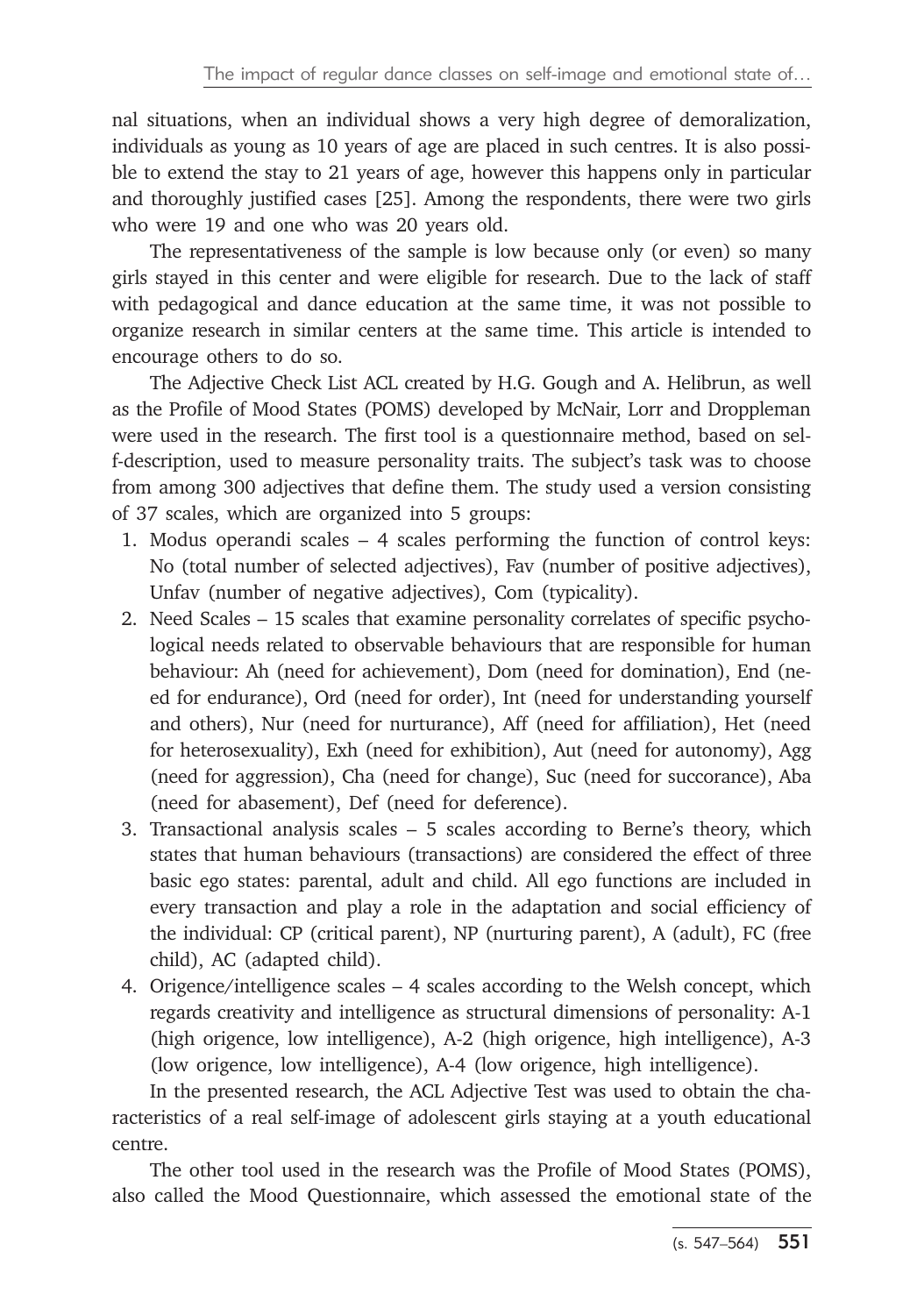nal situations, when an individual shows a very high degree of demoralization, individuals as young as 10 years of age are placed in such centres. It is also possible to extend the stay to 21 years of age, however this happens only in particular and thoroughly justified cases [25]. Among the respondents, there were two girls who were 19 and one who was 20 years old.

The representativeness of the sample is low because only (or even) so many girls stayed in this center and were eligible for research. Due to the lack of staff with pedagogical and dance education at the same time, it was not possible to organize research in similar centers at the same time. This article is intended to encourage others to do so.

The Adjective Check List ACL created by H.G. Gough and A. Helibrun, as well as the Profile of Mood States (POMS) developed by McNair, Lorr and Droppleman were used in the research. The first tool is a questionnaire method, based on self-description, used to measure personality traits. The subject's task was to choose from among 300 adjectives that define them. The study used a version consisting of 37 scales, which are organized into 5 groups:

- 1. Modus operandi scales 4 scales performing the function of control keys: No (total number of selected adjectives), Fav (number of positive adjectives), Unfav (number of negative adjectives), Com (typicality).
- 2. Need Scales 15 scales that examine personality correlates of specific psychological needs related to observable behaviours that are responsible for human behaviour: Ah (need for achievement), Dom (need for domination), End (need for endurance), Ord (need for order), Int (need for understanding yourself and others), Nur (need for nurturance), Aff (need for affiliation), Het (need for heterosexuality), Exh (need for exhibition), Aut (need for autonomy), Agg (need for aggression), Cha (need for change), Suc (need for succorance), Aba (need for abasement), Def (need for deference).
- 3. Transactional analysis scales 5 scales according to Berne's theory, which states that human behaviours (transactions) are considered the effect of three basic ego states: parental, adult and child. All ego functions are included in every transaction and play a role in the adaptation and social efficiency of the individual: CP (critical parent), NP (nurturing parent), A (adult), FC (free child), AC (adapted child).
- 4. Origence/intelligence scales 4 scales according to the Welsh concept, which regards creativity and intelligence as structural dimensions of personality: A-1 (high origence, low intelligence), A-2 (high origence, high intelligence), A-3 (low origence, low intelligence), A-4 (low origence, high intelligence).

In the presented research, the ACL Adjective Test was used to obtain the characteristics of a real self-image of adolescent girls staying at a youth educational centre.

The other tool used in the research was the Profile of Mood States (POMS), also called the Mood Questionnaire, which assessed the emotional state of the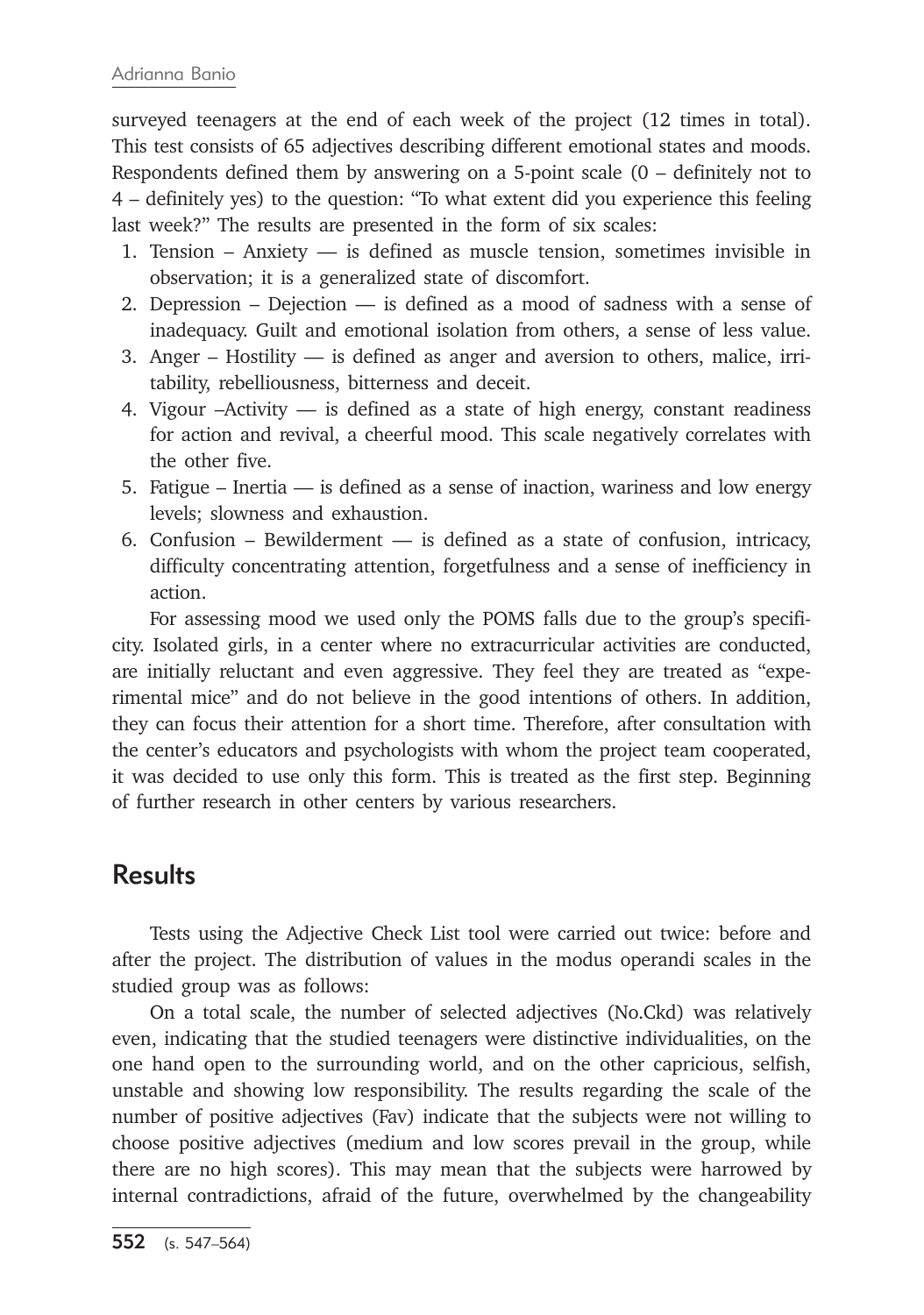surveyed teenagers at the end of each week of the project (12 times in total). This test consists of 65 adjectives describing different emotional states and moods. Respondents defined them by answering on a 5-point scale (0 – definitely not to 4 – definitely yes) to the question: "To what extent did you experience this feeling last week?" The results are presented in the form of six scales:

- 1. Tension Anxiety is defined as muscle tension, sometimes invisible in observation; it is a generalized state of discomfort.
- 2. Depression Dejection is defined as a mood of sadness with a sense of inadequacy. Guilt and emotional isolation from others, a sense of less value.
- 3. Anger Hostility is defined as anger and aversion to others, malice, irritability, rebelliousness, bitterness and deceit.
- 4. Vigour –Activity is defined as a state of high energy, constant readiness for action and revival, a cheerful mood. This scale negatively correlates with the other five.
- 5. Fatigue Inertia is defined as a sense of inaction, wariness and low energy levels; slowness and exhaustion.
- 6. Confusion Bewilderment is defined as a state of confusion, intricacy, difficulty concentrating attention, forgetfulness and a sense of inefficiency in action.

For assessing mood we used only the POMS falls due to the group's specificity. Isolated girls, in a center where no extracurricular activities are conducted, are initially reluctant and even aggressive. They feel they are treated as "experimental mice" and do not believe in the good intentions of others. In addition, they can focus their attention for a short time. Therefore, after consultation with the center's educators and psychologists with whom the project team cooperated, it was decided to use only this form. This is treated as the first step. Beginning of further research in other centers by various researchers.

# **Results**

Tests using the Adjective Check List tool were carried out twice: before and after the project. The distribution of values in the modus operandi scales in the studied group was as follows:

On a total scale, the number of selected adjectives (No.Ckd) was relatively even, indicating that the studied teenagers were distinctive individualities, on the one hand open to the surrounding world, and on the other capricious, selfish, unstable and showing low responsibility. The results regarding the scale of the number of positive adjectives (Fav) indicate that the subjects were not willing to choose positive adjectives (medium and low scores prevail in the group, while there are no high scores). This may mean that the subjects were harrowed by internal contradictions, afraid of the future, overwhelmed by the changeability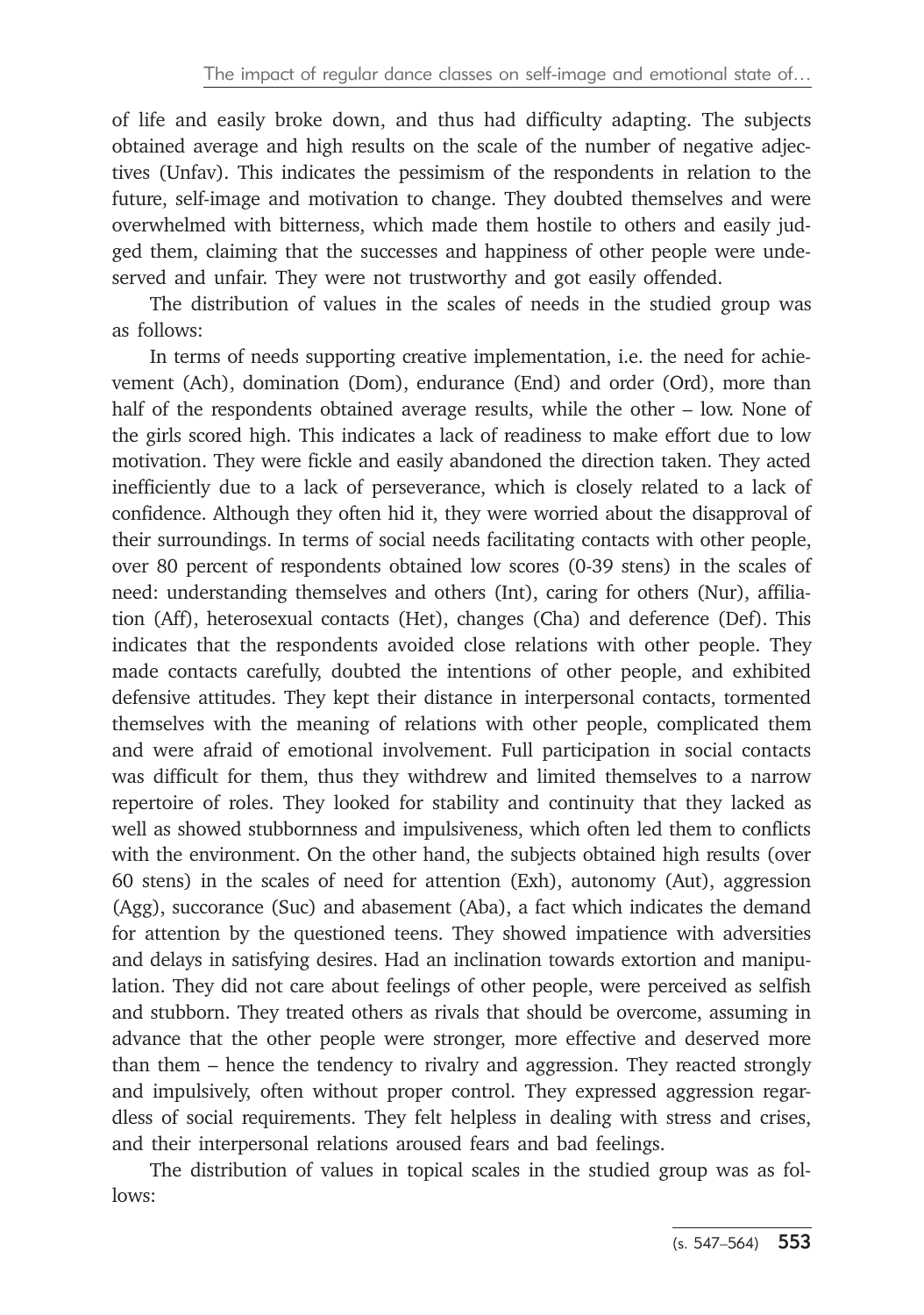of life and easily broke down, and thus had difficulty adapting. The subjects obtained average and high results on the scale of the number of negative adjectives (Unfav). This indicates the pessimism of the respondents in relation to the future, self-image and motivation to change. They doubted themselves and were overwhelmed with bitterness, which made them hostile to others and easily judged them, claiming that the successes and happiness of other people were undeserved and unfair. They were not trustworthy and got easily offended.

The distribution of values in the scales of needs in the studied group was as follows:

In terms of needs supporting creative implementation, i.e. the need for achievement (Ach), domination (Dom), endurance (End) and order (Ord), more than half of the respondents obtained average results, while the other – low. None of the girls scored high. This indicates a lack of readiness to make effort due to low motivation. They were fickle and easily abandoned the direction taken. They acted inefficiently due to a lack of perseverance, which is closely related to a lack of confidence. Although they often hid it, they were worried about the disapproval of their surroundings. In terms of social needs facilitating contacts with other people, over 80 percent of respondents obtained low scores (0-39 stens) in the scales of need: understanding themselves and others (Int), caring for others (Nur), affiliation (Aff), heterosexual contacts (Het), changes (Cha) and deference (Def). This indicates that the respondents avoided close relations with other people. They made contacts carefully, doubted the intentions of other people, and exhibited defensive attitudes. They kept their distance in interpersonal contacts, tormented themselves with the meaning of relations with other people, complicated them and were afraid of emotional involvement. Full participation in social contacts was difficult for them, thus they withdrew and limited themselves to a narrow repertoire of roles. They looked for stability and continuity that they lacked as well as showed stubbornness and impulsiveness, which often led them to conflicts with the environment. On the other hand, the subjects obtained high results (over 60 stens) in the scales of need for attention (Exh), autonomy (Aut), aggression (Agg), succorance (Suc) and abasement (Aba), a fact which indicates the demand for attention by the questioned teens. They showed impatience with adversities and delays in satisfying desires. Had an inclination towards extortion and manipulation. They did not care about feelings of other people, were perceived as selfish and stubborn. They treated others as rivals that should be overcome, assuming in advance that the other people were stronger, more effective and deserved more than them – hence the tendency to rivalry and aggression. They reacted strongly and impulsively, often without proper control. They expressed aggression regardless of social requirements. They felt helpless in dealing with stress and crises, and their interpersonal relations aroused fears and bad feelings.

The distribution of values in topical scales in the studied group was as follows: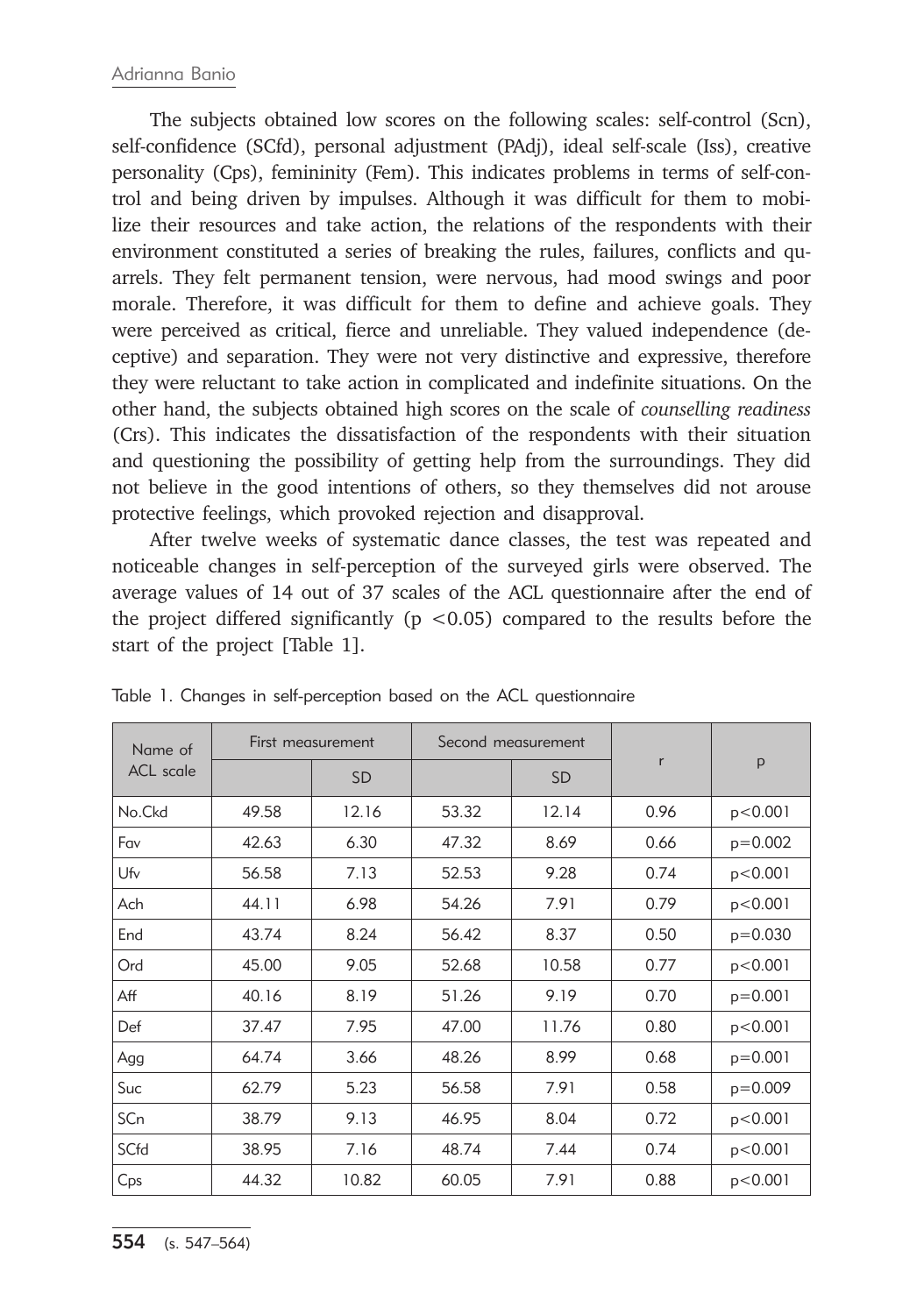The subjects obtained low scores on the following scales: self-control (Scn), self-confidence (SCfd), personal adjustment (PAdj), ideal self-scale (Iss), creative personality (Cps), femininity (Fem). This indicates problems in terms of self-control and being driven by impulses. Although it was difficult for them to mobilize their resources and take action, the relations of the respondents with their environment constituted a series of breaking the rules, failures, conflicts and quarrels. They felt permanent tension, were nervous, had mood swings and poor morale. Therefore, it was difficult for them to define and achieve goals. They were perceived as critical, fierce and unreliable. They valued independence (deceptive) and separation. They were not very distinctive and expressive, therefore they were reluctant to take action in complicated and indefinite situations. On the other hand, the subjects obtained high scores on the scale of *counselling readiness*  (Crs). This indicates the dissatisfaction of the respondents with their situation and questioning the possibility of getting help from the surroundings. They did not believe in the good intentions of others, so they themselves did not arouse protective feelings, which provoked rejection and disapproval.

After twelve weeks of systematic dance classes, the test was repeated and noticeable changes in self-perception of the surveyed girls were observed. The average values of 14 out of 37 scales of the ACL questionnaire after the end of the project differed significantly ( $p < 0.05$ ) compared to the results before the start of the project [Table 1].

| Name of<br><b>ACL</b> scale | First measurement |           | Second measurement |           |      |           |
|-----------------------------|-------------------|-----------|--------------------|-----------|------|-----------|
|                             |                   | <b>SD</b> |                    | <b>SD</b> | r    | p         |
| No.Ckd                      | 49.58             | 12.16     | 53.32              | 12.14     | 0.96 | p < 0.001 |
| Fav                         | 42.63             | 6.30      | 47.32              | 8.69      | 0.66 | $p=0.002$ |
| Ufv                         | 56.58             | 7.13      | 52.53              | 9.28      | 0.74 | p < 0.001 |
| Ach                         | 44.11             | 6.98      | 54.26              | 7.91      | 0.79 | p < 0.001 |
| End                         | 43.74             | 8.24      | 56.42              | 8.37      | 0.50 | $p=0.030$ |
| Ord                         | 45.00             | 9.05      | 52.68              | 10.58     | 0.77 | p<0.001   |
| Aff                         | 40.16             | 8.19      | 51.26              | 9.19      | 0.70 | $p=0.001$ |
| Def                         | 37.47             | 7.95      | 47.00              | 11.76     | 0.80 | p < 0.001 |
| Agg                         | 64.74             | 3.66      | 48.26              | 8.99      | 0.68 | $p=0.001$ |
| Suc                         | 62.79             | 5.23      | 56.58              | 7.91      | 0.58 | $p=0.009$ |
| SCn                         | 38.79             | 9.13      | 46.95              | 8.04      | 0.72 | p < 0.001 |
| SCfd                        | 38.95             | 7.16      | 48.74              | 7.44      | 0.74 | p < 0.001 |
| Cps                         | 44.32             | 10.82     | 60.05              | 7.91      | 0.88 | p < 0.001 |

Table 1. Changes in self-perception based on the ACL questionnaire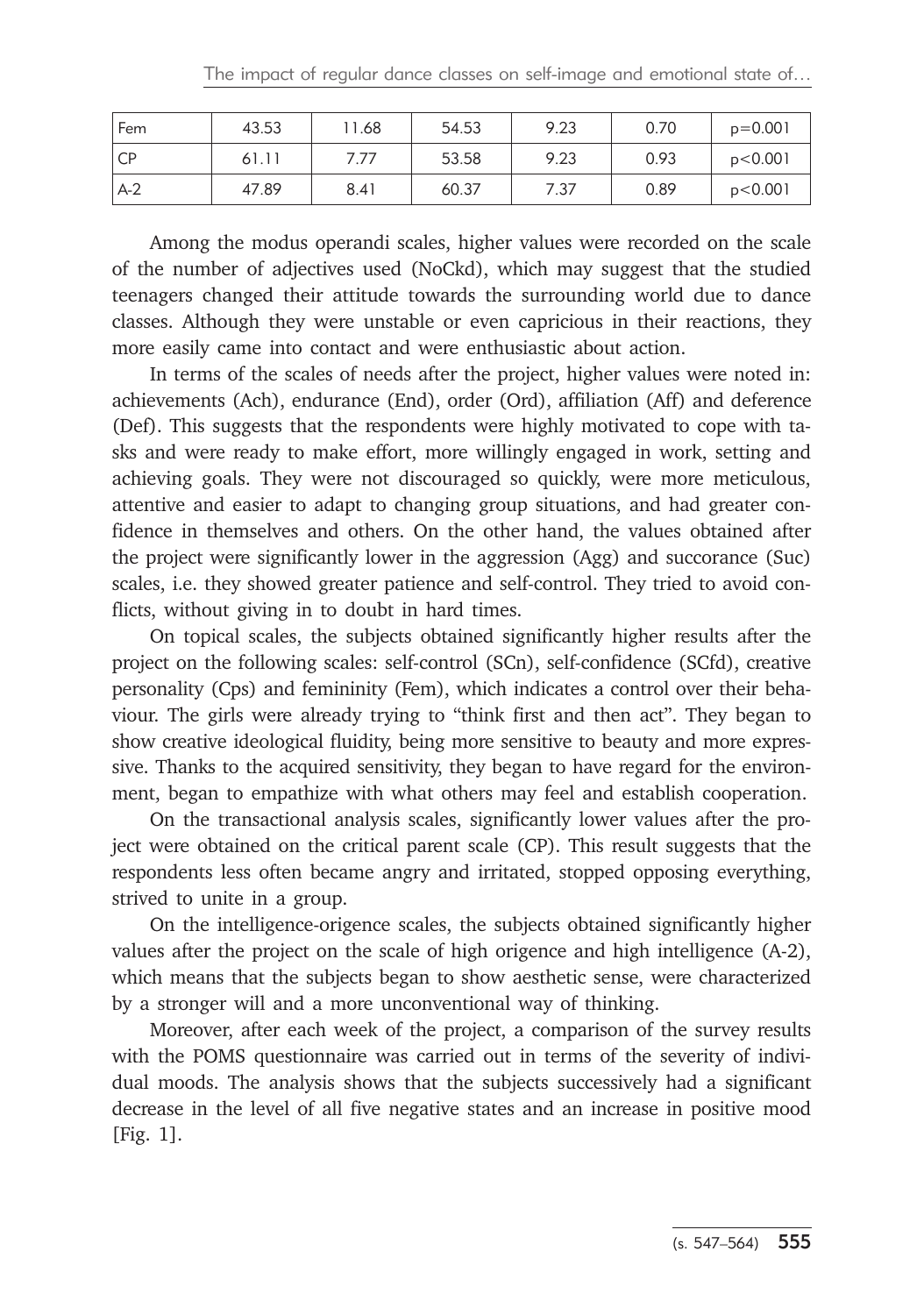| Fem   | 43.53 | 1.68 | 54.53 | 9.23 | 0.70 | $p=0.001$ |
|-------|-------|------|-------|------|------|-----------|
| i CP  | 61.11 | 7.77 | 53.58 | 9.23 | 0.93 | p < 0.001 |
| $A-2$ | 47.89 | 8.41 | 60.37 | 7.37 | 0.89 | p < 0.001 |

Among the modus operandi scales, higher values were recorded on the scale of the number of adjectives used (NoCkd), which may suggest that the studied teenagers changed their attitude towards the surrounding world due to dance classes. Although they were unstable or even capricious in their reactions, they more easily came into contact and were enthusiastic about action.

In terms of the scales of needs after the project, higher values were noted in: achievements (Ach), endurance (End), order (Ord), affiliation (Aff) and deference (Def). This suggests that the respondents were highly motivated to cope with tasks and were ready to make effort, more willingly engaged in work, setting and achieving goals. They were not discouraged so quickly, were more meticulous, attentive and easier to adapt to changing group situations, and had greater confidence in themselves and others. On the other hand, the values obtained after the project were significantly lower in the aggression (Agg) and succorance (Suc) scales, i.e. they showed greater patience and self-control. They tried to avoid conflicts, without giving in to doubt in hard times.

On topical scales, the subjects obtained significantly higher results after the project on the following scales: self-control (SCn), self-confidence (SCfd), creative personality (Cps) and femininity (Fem), which indicates a control over their behaviour. The girls were already trying to "think first and then act". They began to show creative ideological fluidity, being more sensitive to beauty and more expressive. Thanks to the acquired sensitivity, they began to have regard for the environment, began to empathize with what others may feel and establish cooperation.

On the transactional analysis scales, significantly lower values after the project were obtained on the critical parent scale (CP). This result suggests that the respondents less often became angry and irritated, stopped opposing everything, strived to unite in a group.

On the intelligence-origence scales, the subjects obtained significantly higher values after the project on the scale of high origence and high intelligence (A-2), which means that the subjects began to show aesthetic sense, were characterized by a stronger will and a more unconventional way of thinking.

Moreover, after each week of the project, a comparison of the survey results with the POMS questionnaire was carried out in terms of the severity of individual moods. The analysis shows that the subjects successively had a significant decrease in the level of all five negative states and an increase in positive mood [Fig. 1].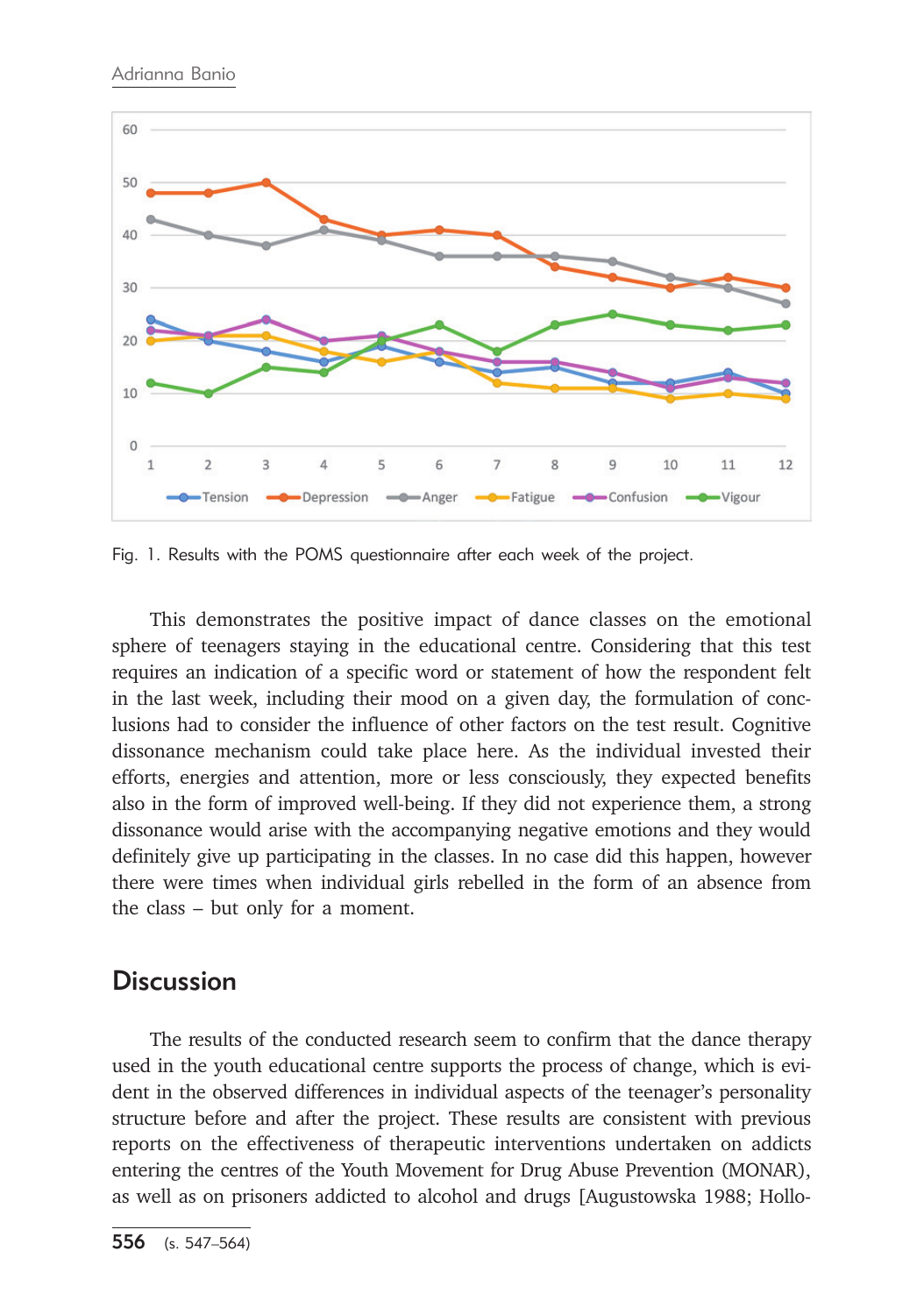

Fig. 1. Results with the POMS questionnaire after each week of the project.

This demonstrates the positive impact of dance classes on the emotional sphere of teenagers staying in the educational centre. Considering that this test requires an indication of a specific word or statement of how the respondent felt in the last week, including their mood on a given day, the formulation of conclusions had to consider the influence of other factors on the test result. Cognitive dissonance mechanism could take place here. As the individual invested their efforts, energies and attention, more or less consciously, they expected benefits also in the form of improved well-being. If they did not experience them, a strong dissonance would arise with the accompanying negative emotions and they would definitely give up participating in the classes. In no case did this happen, however there were times when individual girls rebelled in the form of an absence from the class – but only for a moment.

# **Discussion**

The results of the conducted research seem to confirm that the dance therapy used in the youth educational centre supports the process of change, which is evident in the observed differences in individual aspects of the teenager's personality structure before and after the project. These results are consistent with previous reports on the effectiveness of therapeutic interventions undertaken on addicts entering the centres of the Youth Movement for Drug Abuse Prevention (MONAR), as well as on prisoners addicted to alcohol and drugs [Augustowska 1988; Hollo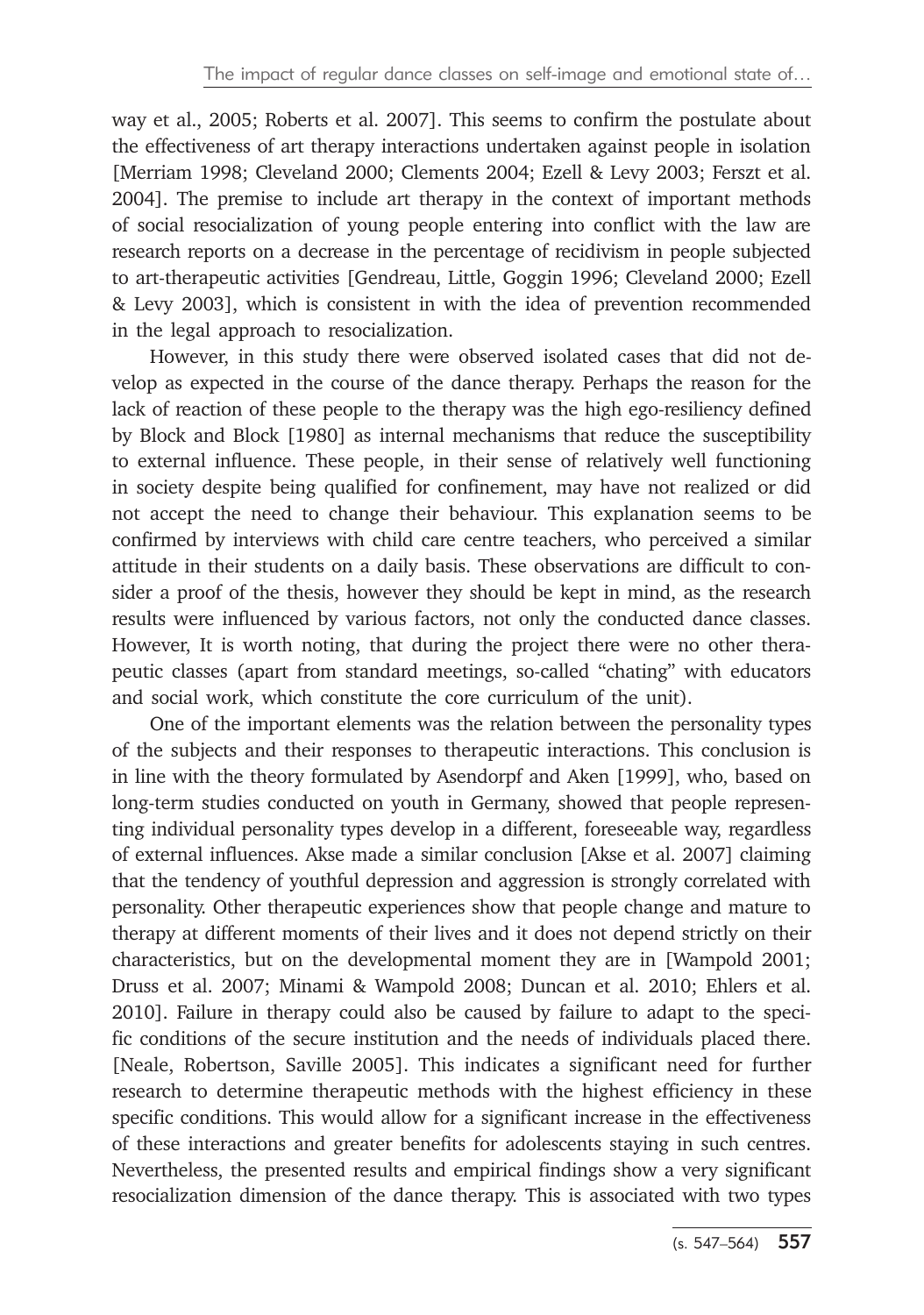way et al., 2005; Roberts et al. 2007]. This seems to confirm the postulate about the effectiveness of art therapy interactions undertaken against people in isolation [Merriam 1998; Cleveland 2000; Clements 2004; Ezell & Levy 2003; Ferszt et al. 2004]. The premise to include art therapy in the context of important methods of social resocialization of young people entering into conflict with the law are research reports on a decrease in the percentage of recidivism in people subjected to art-therapeutic activities [Gendreau, Little, Goggin 1996; Cleveland 2000; Ezell & Levy 2003], which is consistent in with the idea of prevention recommended in the legal approach to resocialization.

However, in this study there were observed isolated cases that did not develop as expected in the course of the dance therapy. Perhaps the reason for the lack of reaction of these people to the therapy was the high ego-resiliency defined by Block and Block [1980] as internal mechanisms that reduce the susceptibility to external influence. These people, in their sense of relatively well functioning in society despite being qualified for confinement, may have not realized or did not accept the need to change their behaviour. This explanation seems to be confirmed by interviews with child care centre teachers, who perceived a similar attitude in their students on a daily basis. These observations are difficult to consider a proof of the thesis, however they should be kept in mind, as the research results were influenced by various factors, not only the conducted dance classes. However, It is worth noting, that during the project there were no other therapeutic classes (apart from standard meetings, so-called "chating" with educators and social work, which constitute the core curriculum of the unit).

One of the important elements was the relation between the personality types of the subjects and their responses to therapeutic interactions. This conclusion is in line with the theory formulated by Asendorpf and Aken [1999], who, based on long-term studies conducted on youth in Germany, showed that people representing individual personality types develop in a different, foreseeable way, regardless of external influences. Akse made a similar conclusion [Akse et al. 2007] claiming that the tendency of youthful depression and aggression is strongly correlated with personality. Other therapeutic experiences show that people change and mature to therapy at different moments of their lives and it does not depend strictly on their characteristics, but on the developmental moment they are in [Wampold 2001; Druss et al. 2007; Minami & Wampold 2008; Duncan et al. 2010; Ehlers et al. 2010]. Failure in therapy could also be caused by failure to adapt to the specific conditions of the secure institution and the needs of individuals placed there. [Neale, Robertson, Saville 2005]. This indicates a significant need for further research to determine therapeutic methods with the highest efficiency in these specific conditions. This would allow for a significant increase in the effectiveness of these interactions and greater benefits for adolescents staying in such centres. Nevertheless, the presented results and empirical findings show a very significant resocialization dimension of the dance therapy. This is associated with two types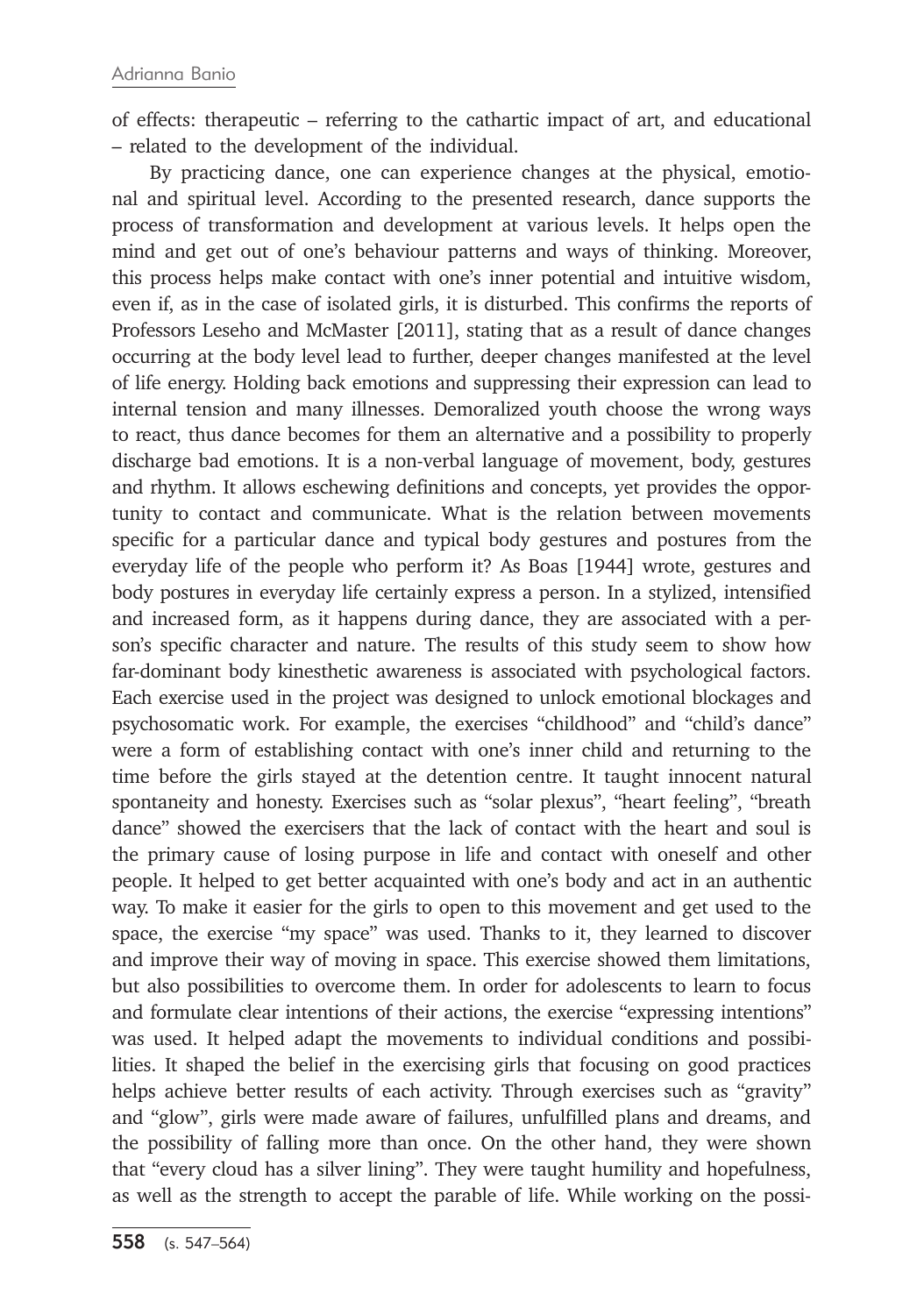of effects: therapeutic – referring to the cathartic impact of art, and educational – related to the development of the individual.

By practicing dance, one can experience changes at the physical, emotional and spiritual level. According to the presented research, dance supports the process of transformation and development at various levels. It helps open the mind and get out of one's behaviour patterns and ways of thinking. Moreover, this process helps make contact with one's inner potential and intuitive wisdom, even if, as in the case of isolated girls, it is disturbed. This confirms the reports of Professors Leseho and McMaster [2011], stating that as a result of dance changes occurring at the body level lead to further, deeper changes manifested at the level of life energy. Holding back emotions and suppressing their expression can lead to internal tension and many illnesses. Demoralized youth choose the wrong ways to react, thus dance becomes for them an alternative and a possibility to properly discharge bad emotions. It is a non-verbal language of movement, body, gestures and rhythm. It allows eschewing definitions and concepts, yet provides the opportunity to contact and communicate. What is the relation between movements specific for a particular dance and typical body gestures and postures from the everyday life of the people who perform it? As Boas [1944] wrote, gestures and body postures in everyday life certainly express a person. In a stylized, intensified and increased form, as it happens during dance, they are associated with a person's specific character and nature. The results of this study seem to show how far-dominant body kinesthetic awareness is associated with psychological factors. Each exercise used in the project was designed to unlock emotional blockages and psychosomatic work. For example, the exercises "childhood" and "child's dance" were a form of establishing contact with one's inner child and returning to the time before the girls stayed at the detention centre. It taught innocent natural spontaneity and honesty. Exercises such as "solar plexus", "heart feeling", "breath dance" showed the exercisers that the lack of contact with the heart and soul is the primary cause of losing purpose in life and contact with oneself and other people. It helped to get better acquainted with one's body and act in an authentic way. To make it easier for the girls to open to this movement and get used to the space, the exercise "my space" was used. Thanks to it, they learned to discover and improve their way of moving in space. This exercise showed them limitations, but also possibilities to overcome them. In order for adolescents to learn to focus and formulate clear intentions of their actions, the exercise "expressing intentions" was used. It helped adapt the movements to individual conditions and possibilities. It shaped the belief in the exercising girls that focusing on good practices helps achieve better results of each activity. Through exercises such as "gravity" and "glow", girls were made aware of failures, unfulfilled plans and dreams, and the possibility of falling more than once. On the other hand, they were shown that "every cloud has a silver lining". They were taught humility and hopefulness, as well as the strength to accept the parable of life. While working on the possi-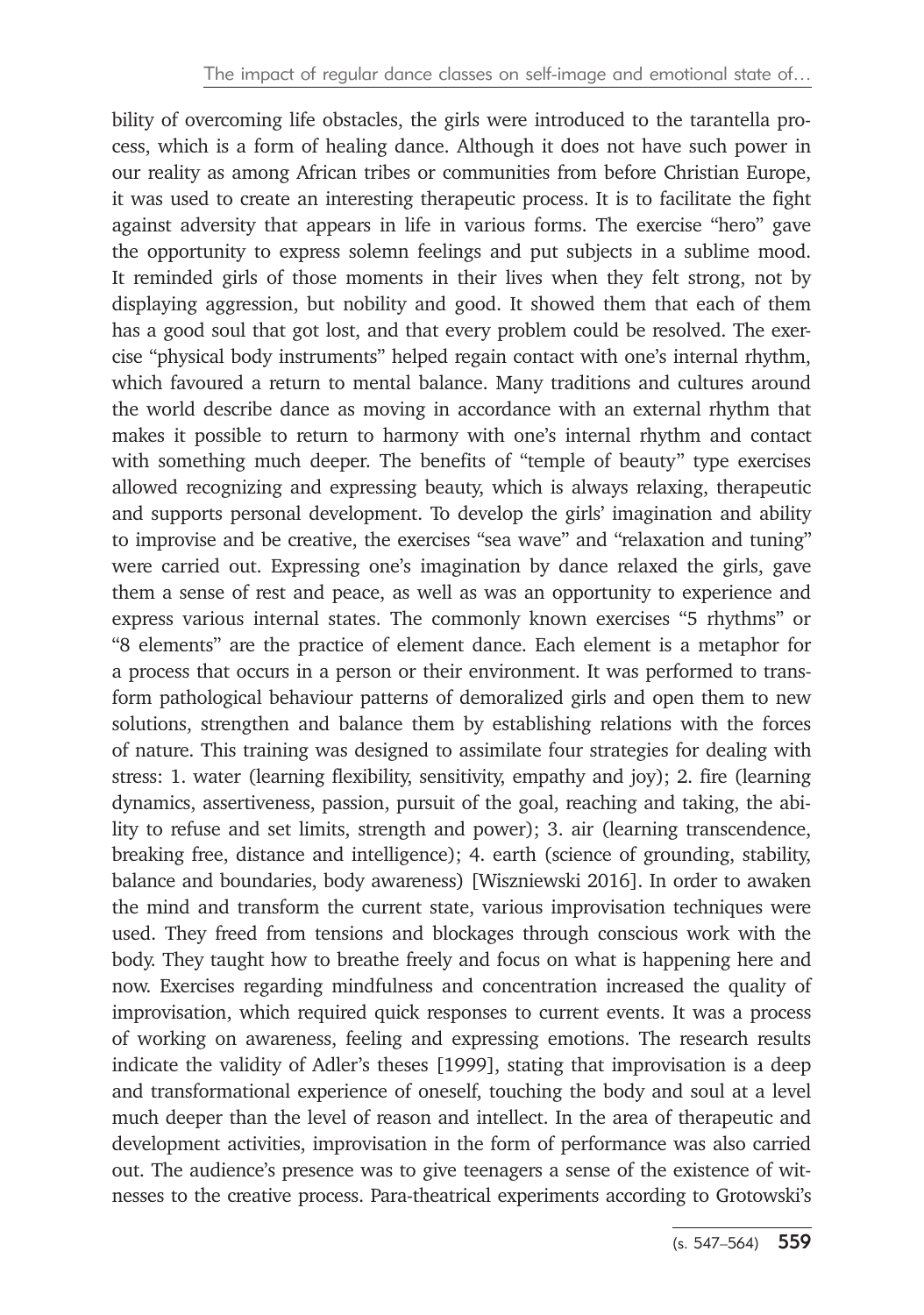bility of overcoming life obstacles, the girls were introduced to the tarantella process, which is a form of healing dance. Although it does not have such power in our reality as among African tribes or communities from before Christian Europe, it was used to create an interesting therapeutic process. It is to facilitate the fight against adversity that appears in life in various forms. The exercise "hero" gave the opportunity to express solemn feelings and put subjects in a sublime mood. It reminded girls of those moments in their lives when they felt strong, not by displaying aggression, but nobility and good. It showed them that each of them has a good soul that got lost, and that every problem could be resolved. The exercise "physical body instruments" helped regain contact with one's internal rhythm, which favoured a return to mental balance. Many traditions and cultures around the world describe dance as moving in accordance with an external rhythm that makes it possible to return to harmony with one's internal rhythm and contact with something much deeper. The benefits of "temple of beauty" type exercises allowed recognizing and expressing beauty, which is always relaxing, therapeutic and supports personal development. To develop the girls' imagination and ability to improvise and be creative, the exercises "sea wave" and "relaxation and tuning" were carried out. Expressing one's imagination by dance relaxed the girls, gave them a sense of rest and peace, as well as was an opportunity to experience and express various internal states. The commonly known exercises "5 rhythms" or "8 elements" are the practice of element dance. Each element is a metaphor for a process that occurs in a person or their environment. It was performed to transform pathological behaviour patterns of demoralized girls and open them to new solutions, strengthen and balance them by establishing relations with the forces of nature. This training was designed to assimilate four strategies for dealing with stress: 1. water (learning flexibility, sensitivity, empathy and joy); 2. fire (learning dynamics, assertiveness, passion, pursuit of the goal, reaching and taking, the ability to refuse and set limits, strength and power); 3. air (learning transcendence, breaking free, distance and intelligence); 4. earth (science of grounding, stability, balance and boundaries, body awareness) [Wiszniewski 2016]. In order to awaken the mind and transform the current state, various improvisation techniques were used. They freed from tensions and blockages through conscious work with the body. They taught how to breathe freely and focus on what is happening here and now. Exercises regarding mindfulness and concentration increased the quality of improvisation, which required quick responses to current events. It was a process of working on awareness, feeling and expressing emotions. The research results indicate the validity of Adler's theses [1999], stating that improvisation is a deep and transformational experience of oneself, touching the body and soul at a level much deeper than the level of reason and intellect. In the area of therapeutic and development activities, improvisation in the form of performance was also carried out. The audience's presence was to give teenagers a sense of the existence of witnesses to the creative process. Para-theatrical experiments according to Grotowski's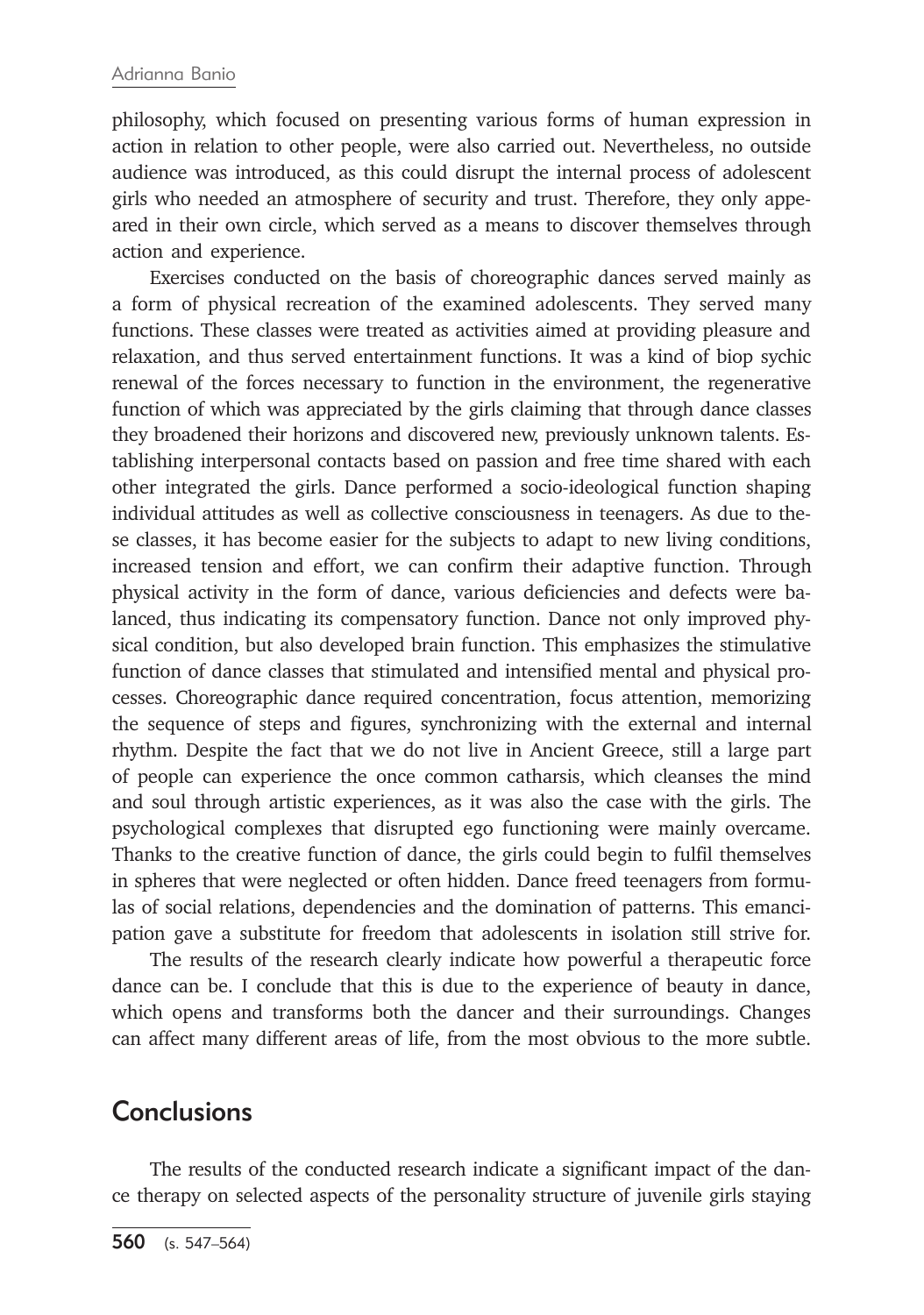#### Adrianna Banio

philosophy, which focused on presenting various forms of human expression in action in relation to other people, were also carried out. Nevertheless, no outside audience was introduced, as this could disrupt the internal process of adolescent girls who needed an atmosphere of security and trust. Therefore, they only appeared in their own circle, which served as a means to discover themselves through action and experience.

Exercises conducted on the basis of choreographic dances served mainly as a form of physical recreation of the examined adolescents. They served many functions. These classes were treated as activities aimed at providing pleasure and relaxation, and thus served entertainment functions. It was a kind of biop sychic renewal of the forces necessary to function in the environment, the regenerative function of which was appreciated by the girls claiming that through dance classes they broadened their horizons and discovered new, previously unknown talents. Establishing interpersonal contacts based on passion and free time shared with each other integrated the girls. Dance performed a socio-ideological function shaping individual attitudes as well as collective consciousness in teenagers. As due to these classes, it has become easier for the subjects to adapt to new living conditions, increased tension and effort, we can confirm their adaptive function. Through physical activity in the form of dance, various deficiencies and defects were balanced, thus indicating its compensatory function. Dance not only improved physical condition, but also developed brain function. This emphasizes the stimulative function of dance classes that stimulated and intensified mental and physical processes. Choreographic dance required concentration, focus attention, memorizing the sequence of steps and figures, synchronizing with the external and internal rhythm. Despite the fact that we do not live in Ancient Greece, still a large part of people can experience the once common catharsis, which cleanses the mind and soul through artistic experiences, as it was also the case with the girls. The psychological complexes that disrupted ego functioning were mainly overcame. Thanks to the creative function of dance, the girls could begin to fulfil themselves in spheres that were neglected or often hidden. Dance freed teenagers from formulas of social relations, dependencies and the domination of patterns. This emancipation gave a substitute for freedom that adolescents in isolation still strive for.

The results of the research clearly indicate how powerful a therapeutic force dance can be. I conclude that this is due to the experience of beauty in dance, which opens and transforms both the dancer and their surroundings. Changes can affect many different areas of life, from the most obvious to the more subtle.

### **Conclusions**

The results of the conducted research indicate a significant impact of the dance therapy on selected aspects of the personality structure of juvenile girls staying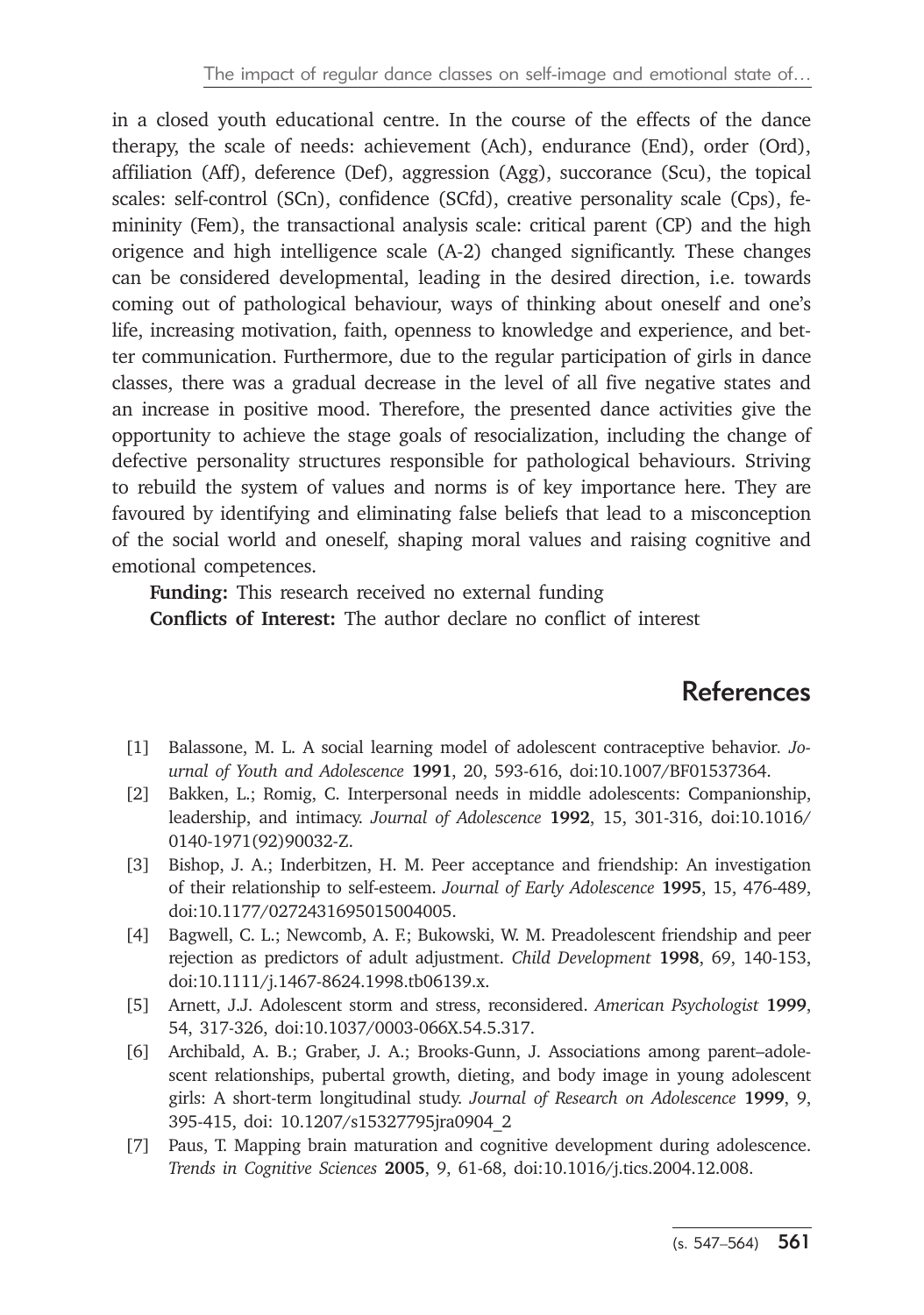in a closed youth educational centre. In the course of the effects of the dance therapy, the scale of needs: achievement (Ach), endurance (End), order (Ord), affiliation (Aff), deference (Def), aggression (Agg), succorance (Scu), the topical scales: self-control (SCn), confidence (SCfd), creative personality scale (Cps), femininity (Fem), the transactional analysis scale: critical parent (CP) and the high origence and high intelligence scale (A-2) changed significantly. These changes can be considered developmental, leading in the desired direction, i.e. towards coming out of pathological behaviour, ways of thinking about oneself and one's life, increasing motivation, faith, openness to knowledge and experience, and better communication. Furthermore, due to the regular participation of girls in dance classes, there was a gradual decrease in the level of all five negative states and an increase in positive mood. Therefore, the presented dance activities give the opportunity to achieve the stage goals of resocialization, including the change of defective personality structures responsible for pathological behaviours. Striving to rebuild the system of values and norms is of key importance here. They are favoured by identifying and eliminating false beliefs that lead to a misconception of the social world and oneself, shaping moral values and raising cognitive and emotional competences.

**Funding:** This research received no external funding **Conflicts of Interest:** The author declare no conflict of interest

# **References**

- [1] Balassone, M. L. A social learning model of adolescent contraceptive behavior*. Journal of Youth and Adolescence* **1991**, 20, 593-616, doi:10.1007/BF01537364.
- [2] Bakken, L.; Romig, C. Interpersonal needs in middle adolescents: Companionship, leadership, and intimacy. *Journal of Adolescence* **1992**, 15, 301-316, doi:10.1016/ 0140-1971(92)90032-Z.
- [3] Bishop, J. A.; Inderbitzen, H. M. Peer acceptance and friendship: An investigation of their relationship to self-esteem. *Journal of Early Adolescence* **1995**, 15, 476-489, doi:10.1177/0272431695015004005.
- [4] Bagwell, C. L.; Newcomb, A. F.; Bukowski, W. M. Preadolescent friendship and peer rejection as predictors of adult adjustment. *Child Development* **1998**, 69, 140-153, doi:10.1111/j.1467-8624.1998.tb06139.x.
- [5] Arnett, J.J. Adolescent storm and stress, reconsidered. *American Psychologist* **1999**, 54, 317-326, doi:10.1037/0003-066X.54.5.317.
- [6] Archibald, A. B.; Graber, J. A.; Brooks-Gunn, J. Associations among parent–adolescent relationships, pubertal growth, dieting, and body image in young adolescent girls: A short-term longitudinal study. *Journal of Research on Adolescence* **1999**, 9, 395-415, doi: 10.1207/s15327795jra0904\_2
- [7] Paus, T. Mapping brain maturation and cognitive development during adolescence. *Trends in Cognitive Sciences* **2005**, 9, 61-68, doi:10.1016/j.tics.2004.12.008.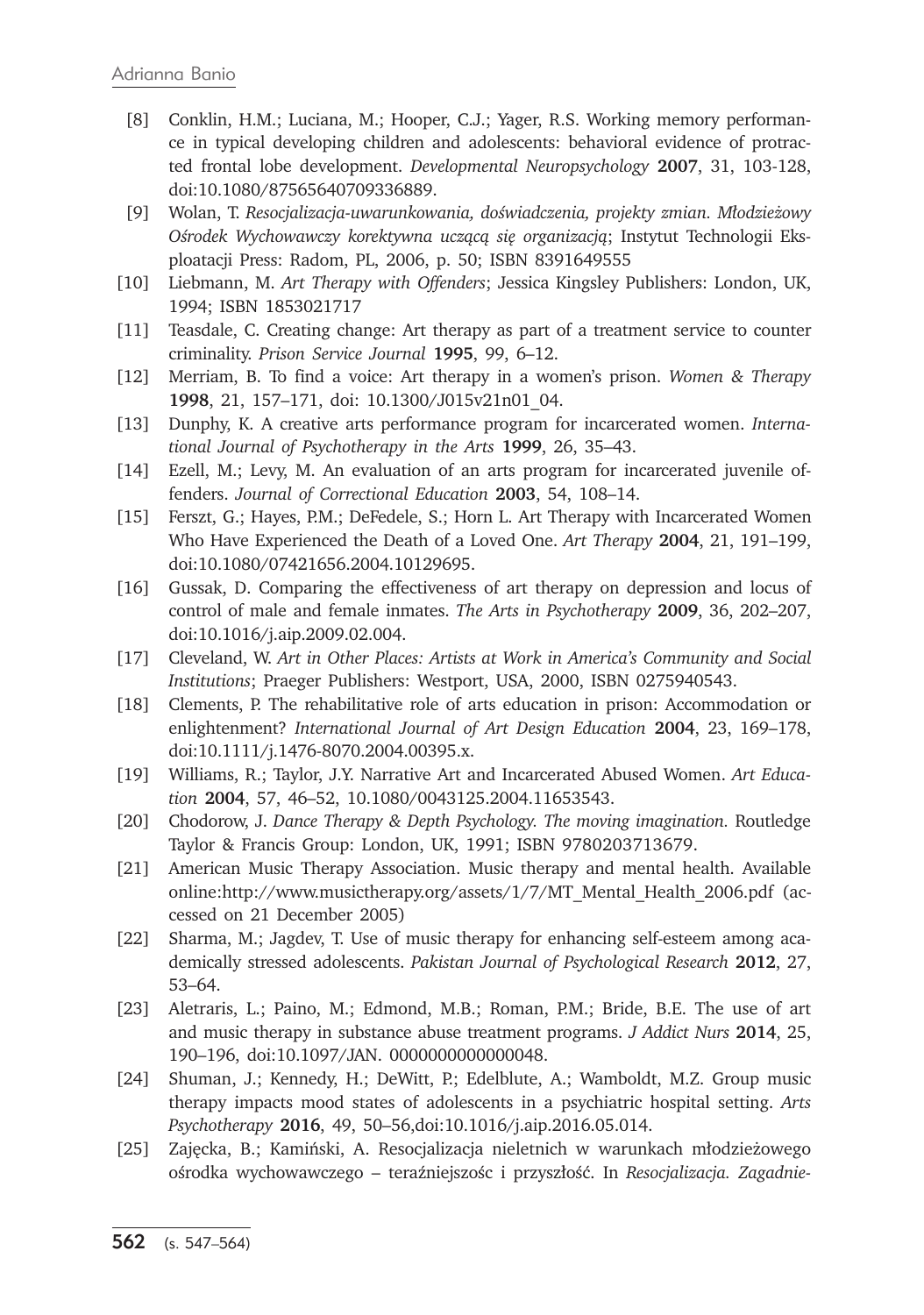- [8] Conklin, H.M.; Luciana, M.; Hooper, C.J.; Yager, R.S. Working memory performance in typical developing children and adolescents: behavioral evidence of protracted frontal lobe development. *Developmental Neuropsychology* **2007**, 31, 103-128, doi:10.1080/87565640709336889.
- [9] Wolan, T. *Resocjalizacja-uwarunkowania, doświadczenia, projekty zmian. Młodzieżowy Ośrodek Wychowawczy korektywna uczącą się organizacją*; Instytut Technologii Eksploatacji Press: Radom, PL, 2006, p. 50; ISBN 8391649555
- [10] Liebmann, M. *Art Therapy with Offenders*; Jessica Kingsley Publishers: London, UK, 1994; ISBN 1853021717
- [11] Teasdale, C. Creating change: Art therapy as part of a treatment service to counter criminality. *Prison Service Journal* **1995**, 99, 6–12.
- [12] Merriam, B. To find a voice: Art therapy in a women's prison. *Women & Therapy* **1998**, 21, 157–171, doi: 10.1300/J015v21n01\_04.
- [13] Dunphy, K. A creative arts performance program for incarcerated women. *International Journal of Psychotherapy in the Arts* **1999**, 26, 35–43.
- [14] Ezell, M.; Levy, M. An evaluation of an arts program for incarcerated juvenile offenders. *Journal of Correctional Education* **2003**, 54, 108–14.
- [15] Ferszt, G.; Hayes, P.M.; DeFedele, S.; Horn L. Art Therapy with Incarcerated Women Who Have Experienced the Death of a Loved One. *Art Therapy* **2004**, 21, 191–199, doi:10.1080/07421656.2004.10129695.
- [16] Gussak, D. Comparing the effectiveness of art therapy on depression and locus of control of male and female inmates. *The Arts in Psychotherapy* **2009**, 36, 202–207, doi:10.1016/j.aip.2009.02.004.
- [17] Cleveland, W. *Art in Other Places: Artists at Work in America's Community and Social Institutions*; Praeger Publishers: Westport, USA, 2000, ISBN 0275940543.
- [18] Clements, P. The rehabilitative role of arts education in prison: Accommodation or enlightenment? *International Journal of Art Design Education* **2004**, 23, 169–178, doi:10.1111/j.1476-8070.2004.00395.x.
- [19] Williams, R.; Taylor, J.Y. Narrative Art and Incarcerated Abused Women. *Art Education* **2004**, 57, 46–52, 10.1080/0043125.2004.11653543.
- [20] Chodorow, J. *Dance Therapy & Depth Psychology. The moving imagination.* Routledge Taylor & Francis Group: London, UK, 1991; ISBN 9780203713679.
- [21] American Music Therapy Association. Music therapy and mental health. Available online:http://www.musictherapy.org/assets/1/7/MT\_Mental\_Health\_2006.pdf (accessed on 21 December 2005)
- [22] Sharma, M.; Jagdev, T. Use of music therapy for enhancing self-esteem among academically stressed adolescents. *Pakistan Journal of Psychological Research* **2012**, 27, 53–64.
- [23] Aletraris, L.; Paino, M.; Edmond, M.B.; Roman, P.M.; Bride, B.E. The use of art and music therapy in substance abuse treatment programs. *J Addict Nurs* **2014**, 25, 190–196, doi:10.1097/JAN. 0000000000000048.
- [24] Shuman, J.; Kennedy, H.; DeWitt, P.; Edelblute, A.; Wamboldt, M.Z. Group music therapy impacts mood states of adolescents in a psychiatric hospital setting. *Arts Psychotherapy* **2016**, 49, 50–56,doi:10.1016/j.aip.2016.05.014.
- [25] Zajęcka, B.; Kamiński, A. Resocjalizacja nieletnich w warunkach młodzieżowego ośrodka wychowawczego – teraźniejszośc i przyszłość. In *Resocjalizacja. Zagadnie-*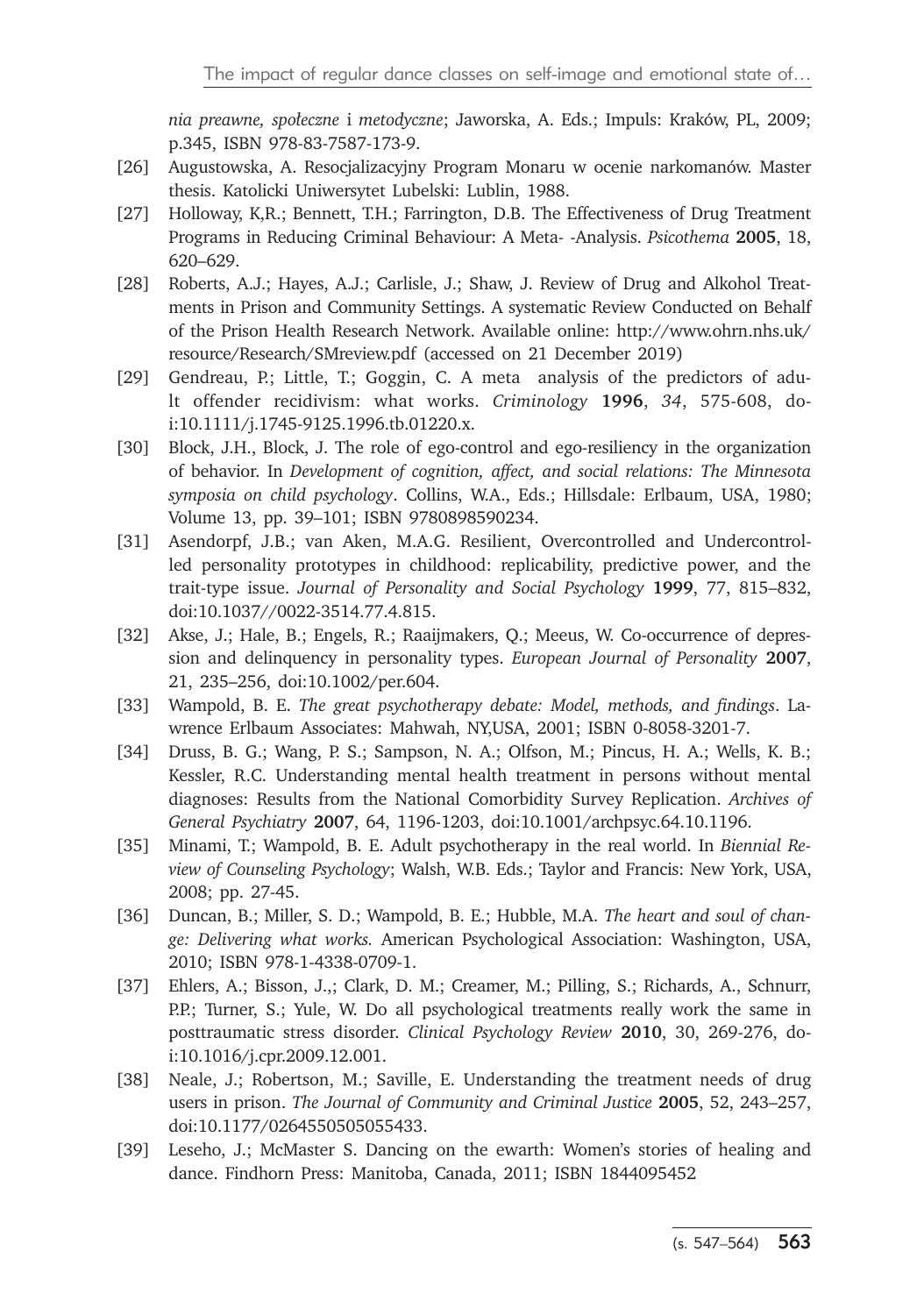*nia preawne, społeczne* i *metodyczne*; Jaworska, A. Eds.; Impuls: Kraków, PL, 2009; p.345, ISBN 978-83-7587-173-9.

- [26] Augustowska, A. Resocjalizacyjny Program Monaru w ocenie narkomanów. Master thesis. Katolicki Uniwersytet Lubelski: Lublin, 1988.
- [27] Holloway, K,R.; Bennett, T.H.; Farrington, D.B. The Effectiveness of Drug Treatment Programs in Reducing Criminal Behaviour: A Meta- -Analysis. *Psicothema* **2005**, 18, 620–629.
- [28] Roberts, A.J.; Hayes, A.J.; Carlisle, J.; Shaw, J. Review of Drug and Alkohol Treatments in Prison and Community Settings. A systematic Review Conducted on Behalf of the Prison Health Research Network. Available online: http://www.ohrn.nhs.uk/ resource/Research/SMreview.pdf (accessed on 21 December 2019)
- [29] Gendreau, P.; Little, T.; Goggin, C. A meta analysis of the predictors of adult offender recidivism: what works. *Criminology* **1996**, *34*, 575-608, doi:10.1111/j.1745-9125.1996.tb.01220.x.
- [30] Block, J.H., Block, J. The role of ego-control and ego-resiliency in the organization of behavior. In *Development of cognition, affect, and social relations: The Minnesota symposia on child psychology*. Collins, W.A., Eds.; Hillsdale: Erlbaum, USA, 1980; Volume 13, pp. 39–101; ISBN 9780898590234.
- [31] Asendorpf, J.B.; van Aken, M.A.G. Resilient, Overcontrolled and Undercontrolled personality prototypes in childhood: replicability, predictive power, and the trait-type issue. *Journal of Personality and Social Psychology* **1999**, 77, 815–832, doi:10.1037//0022-3514.77.4.815.
- [32] Akse, J.; Hale, B.; Engels, R.; Raaijmakers, Q.; Meeus, W. Co-occurrence of depression and delinquency in personality types. *European Journal of Personality* **2007**, 21, 235–256, doi:10.1002/per.604.
- [33] Wampold, B. E. *The great psychotherapy debate: Model, methods, and findings*. Lawrence Erlbaum Associates: Mahwah, NY,USA, 2001; ISBN 0-8058-3201-7.
- [34] Druss, B. G.; Wang, P. S.; Sampson, N. A.; Olfson, M.; Pincus, H. A.; Wells, K. B.; Kessler, R.C. Understanding mental health treatment in persons without mental diagnoses: Results from the National Comorbidity Survey Replication. *Archives of General Psychiatry* **2007**, 64, 1196-1203, doi:10.1001/archpsyc.64.10.1196.
- [35] Minami, T.; Wampold, B. E. Adult psychotherapy in the real world. In *Biennial Review of Counseling Psychology*; Walsh, W.B. Eds.; Taylor and Francis: New York, USA, 2008; pp. 27-45.
- [36] Duncan, B.; Miller, S. D.; Wampold, B. E.; Hubble, M.A. *The heart and soul of change: Delivering what works.* American Psychological Association: Washington, USA, 2010; ISBN 978-1-4338-0709-1.
- [37] Ehlers, A.; Bisson, J.,; Clark, D. M.; Creamer, M.; Pilling, S.; Richards, A., Schnurr, P.P.; Turner, S.; Yule, W. Do all psychological treatments really work the same in posttraumatic stress disorder. *Clinical Psychology Review* **2010**, 30, 269-276, doi:10.1016/j.cpr.2009.12.001.
- [38] Neale, J.; Robertson, M.; Saville, E. Understanding the treatment needs of drug users in prison. *The Journal of Community and Criminal Justice* **2005**, 52, 243–257, doi:10.1177/0264550505055433.
- [39] Leseho, J.; McMaster S. Dancing on the ewarth: Women's stories of healing and dance. Findhorn Press: Manitoba, Canada, 2011; ISBN 1844095452